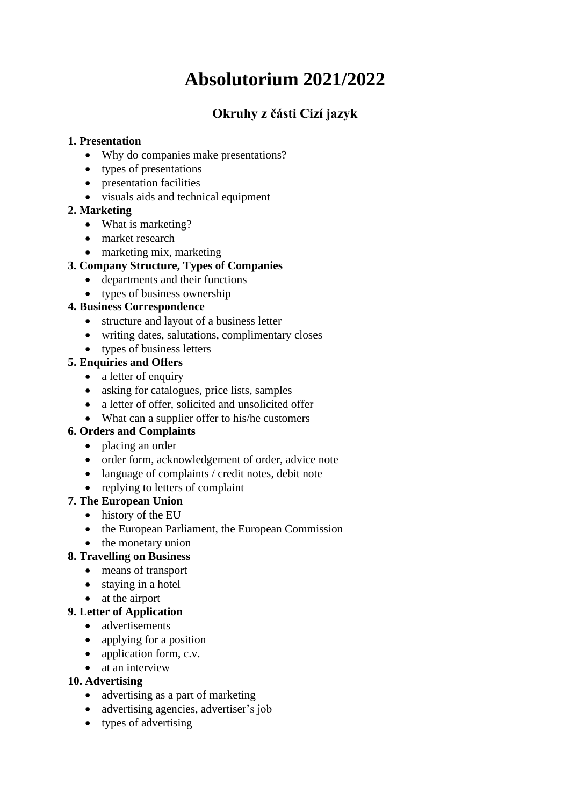# **Absolutorium 2021/2022**

# **Okruhy z části Cizí jazyk**

## **1. Presentation**

- Why do companies make presentations?
- types of presentations
- presentation facilities
- visuals aids and technical equipment

## **2. Marketing**

- What is marketing?
- market research
- marketing mix, marketing

## **3. Company Structure, Types of Companies**

- departments and their functions
- types of business ownership

## **4. Business Correspondence**

- structure and layout of a business letter
- writing dates, salutations, complimentary closes
- types of business letters

## **5. Enquiries and Offers**

- a letter of enquiry
- asking for catalogues, price lists, samples
- a letter of offer, solicited and unsolicited offer
- What can a supplier offer to his/he customers

#### **6. Orders and Complaints**

- placing an order
- order form, acknowledgement of order, advice note
- language of complaints / credit notes, debit note
- replying to letters of complaint

## **7. The European Union**

- history of the EU
- the European Parliament, the European Commission
- the monetary union

## **8. Travelling on Business**

- means of transport
- staying in a hotel
- at the airport

## **9. Letter of Application**

- advertisements
- applying for a position
- application form, c.v.
- at an interview

## **10. Advertising**

- advertising as a part of marketing
- advertising agencies, advertiser's job
- types of advertising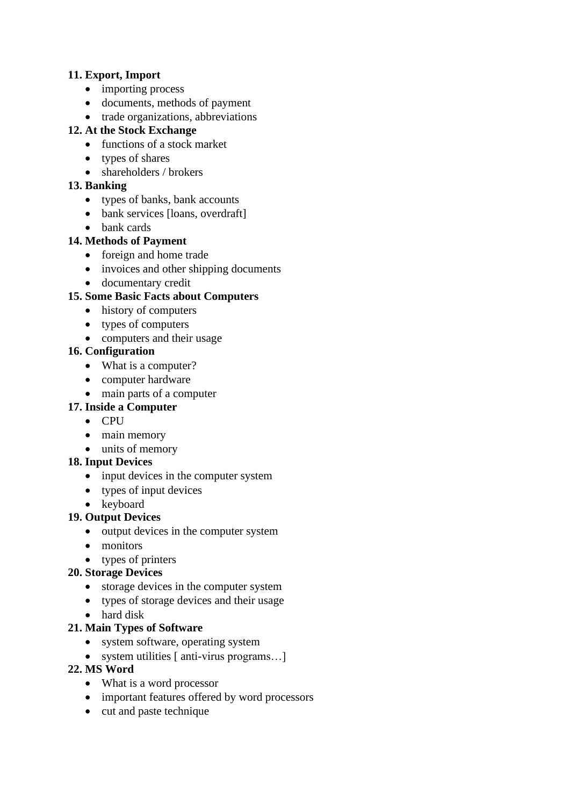#### **11. Export, Import**

- importing process
- documents, methods of payment
- trade organizations, abbreviations

#### **12. At the Stock Exchange**

- functions of a stock market
- types of shares
- shareholders / brokers

#### **13. Banking**

- types of banks, bank accounts
- bank services [loans, overdraft]
- bank cards

#### **14. Methods of Payment**

- foreign and home trade
- invoices and other shipping documents
- documentary credit

## **15. Some Basic Facts about Computers**

- history of computers
- types of computers
- computers and their usage

#### **16. Configuration**

- What is a computer?
- computer hardware
- main parts of a computer

#### **17. Inside a Computer**

- CPU
- main memory
- units of memory

#### **18. Input Devices**

- input devices in the computer system
- types of input devices
- keyboard
- **19. Output Devices**
	- output devices in the computer system
	- monitors
	- types of printers

#### **20. Storage Devices**

- storage devices in the computer system
- types of storage devices and their usage
- hard disk

#### **21. Main Types of Software**

- system software, operating system
- system utilities [ anti-virus programs...]

#### **22. MS Word**

- What is a word processor
- important features offered by word processors
- cut and paste technique